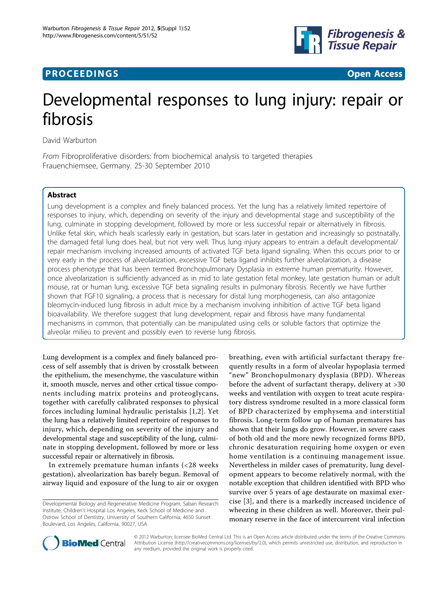



# Developmental responses to lung injury: repair or fibrosis

David Warburton

From Fibroproliferative disorders: from biochemical analysis to targeted therapies Frauenchiemsee, Germany. 25-30 September 2010

## Abstract

Lung development is a complex and finely balanced process. Yet the lung has a relatively limited repertoire of responses to injury, which, depending on severity of the injury and developmental stage and susceptibility of the lung, culminate in stopping development, followed by more or less successful repair or alternatively in fibrosis. Unlike fetal skin, which heals scarlessly early in gestation, but scars later in gestation and increasingly so postnatally, the damaged fetal lung does heal, but not very well. Thus lung injury appears to entrain a default developmental/ repair mechanism involving increased amounts of activated TGF beta ligand signaling. When this occurs prior to or very early in the process of alveolarization, excessive TGF beta ligand inhibits further alveolarization, a disease process phenotype that has been termed Bronchopulmonary Dysplasia in extreme human prematurity. However, once alveolarization is sufficiently advanced as in mid to late gestation fetal monkey, late gestation human or adult mouse, rat or human lung, excessive TGF beta signaling results in pulmonary fibrosis. Recently we have further shown that FGF10 signaling, a process that is necessary for distal lung morphogenesis, can also antagonize bleomycin-induced lung fibrosis in adult mice by a mechanism involving inhibition of active TGF beta ligand bioavailability. We therefore suggest that lung development, repair and fibrosis have many fundamental mechanisms in common, that potentially can be manipulated using cells or soluble factors that optimize the alveolar milieu to prevent and possibly even to reverse lung fibrosis.

Lung development is a complex and finely balanced process of self assembly that is driven by crosstalk between the epithelium, the mesenchyme, the vasculature within it, smooth muscle, nerves and other crtical tissue components including matrix proteins and proteoglycans, together with carefully calibrated responses to physical forces including luminal hydraulic peristalsis [[1](#page-2-0),[2\]](#page-2-0). Yet the lung has a relatively limited repertoire of responses to injury, which, depending on severity of the injury and developmental stage and susceptibility of the lung, culminate in stopping development, followed by more or less successful repair or alternatively in fibrosis.

In extremely premature human infants (<28 weeks gestation), alveolarization has barely begun. Removal of airway liquid and exposure of the lung to air or oxygen

breathing, even with artificial surfactant therapy frequently results in a form of alveolar hypoplasia termed "new" Bronchopulmonary dysplasia (BPD). Whereas before the advent of surfactant therapy, delivery at >30 weeks and ventilation with oxygen to treat acute respiratory distress syndrome resulted in a more classical form of BPD characterized by emphysema and interstitial fibrosis. Long-term follow up of human prematures has shown that their lungs do grow. However, in severe cases of both old and the more newly recognized forms BPD, chronic desaturation requiring home oxygen or even home ventilation is a continuing management issue. Nevertheless in milder cases of prematurity, lung development appears to become relatively normal, with the notable exception that children identified with BPD who survive over 5 years of age destaurate on maximal exercise [[3](#page-2-0)], and there is a markedly increased incidence of wheezing in these children as well. Moreover, their pulmonary reserve in the face of intercurrent viral infection



© 2012 Warburton; licensee BioMed Central Ltd. This is an Open Access article distributed under the terms of the Creative Commons Attribution License [\(http://creativecommons.org/licenses/by/2.0](http://creativecommons.org/licenses/by/2.0)), which permits unrestricted use, distribution, and reproduction in any medium, provided the original work is properly cited.

Developmental Biology and Regenerative Medicine Program, Saban Research Institute, Children's Hospital Los Angeles, Keck School of Medicine and Ostrow School of Dentistry, University of Southern California, 4650 Sunset Boulevard, Los Angeles, California, 90027, USA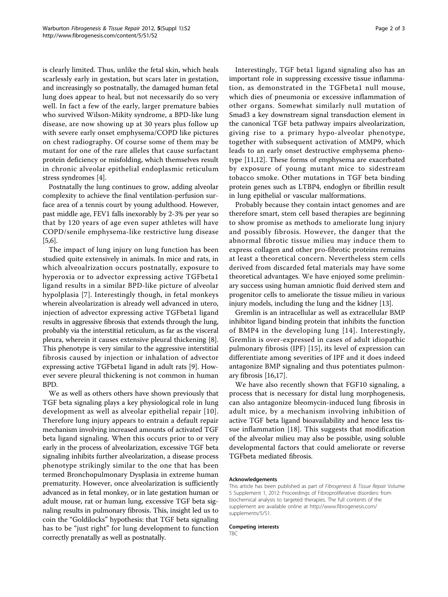is clearly limited. Thus, unlike the fetal skin, which heals scarlessly early in gestation, but scars later in gestation, and increasingly so postnatally, the damaged human fetal lung does appear to heal, but not necessarily do so very well. In fact a few of the early, larger premature babies who survived Wilson-Mikity syndrome, a BPD-like lung disease, are now showing up at 30 years plus follow up with severe early onset emphysema/COPD like pictures on chest radiography. Of course some of them may be mutant for one of the rare alleles that cause surfactant protein deficiency or misfolding, which themselves result in chronic alveolar epithelial endoplasmic reticulum stress syndromes [[4](#page-2-0)].

Postnatally the lung continues to grow, adding alveolar complexity to achieve the final ventilation-perfusion surface area of a tennis court by young adulthood. However, past middle age, FEV1 falls inexorably by 2-3% per year so that by 120 years of age even super athletes will have COPD/senile emphysema-like restrictive lung disease [[5,6](#page-2-0)].

The impact of lung injury on lung function has been studied quite extensively in animals. In mice and rats, in which alveoalrization occurs postnatally, exposure to hyperoxia or to advector expressing active TGFbeta1 ligand results in a similar BPD-like picture of alveolar hypolplasia [[7\]](#page-2-0). Interestingly though, in fetal monkeys wherein alveolarization is already well advanced in utero, injection of advector expressing active TGFbeta1 ligand results in aggressive fibrosis that extends through the lung, probably via the interstitial reticulum, as far as the visceral pleura, wherein it causes extensive pleural thickening [\[8](#page-2-0)]. This phenotype is very similar to the aggressive interstitial fibrosis caused by injection or inhalation of advector expressing active TGFbeta1 ligand in adult rats [\[9](#page-2-0)]. However severe pleural thickening is not common in human BPD.

We as well as others others have shown previously that TGF beta signaling plays a key physiological role in lung development as well as alveolar epithelial repair [\[10\]](#page-2-0). Therefore lung injury appears to entrain a default repair mechanism involving increased amounts of activated TGF beta ligand signaling. When this occurs prior to or very early in the process of alveolarization, excessive TGF beta signaling inhibits further alveolarization, a disease process phenotype strikingly similar to the one that has been termed Bronchopulmonary Dysplasia in extreme human prematurity. However, once alveolarization is sufficiently advanced as in fetal monkey, or in late gestation human or adult mouse, rat or human lung, excessive TGF beta signaling results in pulmonary fibrosis. This, insight led us to coin the "Goldilocks" hypothesis: that TGF beta signaling has to be "just right" for lung development to function correctly prenatally as well as postnatally.

Interestingly, TGF beta1 ligand signaling also has an important role in suppressing excessive tissue inflammation, as demonstrated in the TGFbeta1 null mouse, which dies of pneumonia or excessive inflammation of other organs. Somewhat similarly null mutation of Smad3 a key downstream signal transduction element in the canonical TGF beta pathway impairs alveolarization, giving rise to a primary hypo-alveolar phenotype, together with subsequent activation of MMP9, which leads to an early onset destructive emphysema phenotype [\[11,12\]](#page-2-0). These forms of emphysema are exacerbated by exposure of young mutant mice to sidestream tobacco smoke. Other mutations in TGF beta binding protein genes such as LTBP4, endoglyn or fibrillin result in lung epithelial or vascular malformations.

Probably because they contain intact genomes and are therefore smart, stem cell based therapies are beginning to show promise as methods to ameliorate lung injury and possibly fibrosis. However, the danger that the abnormal fibrotic tissue milieu may induce them to express collagen and other pro-fibrotic proteins remains at least a theoretical concern. Nevertheless stem cells derived from discarded fetal materials may have some theoretical advantages. We have enjoyed some preliminary success using human amniotic fluid derived stem and progenitor cells to ameliorate the tissue milieu in various injury models, including the lung and the kidney [[13\]](#page-2-0).

Gremlin is an intracellular as well as extracellular BMP inhibitor ligand binding protein that inhibits the function of BMP4 in the developing lung [[14](#page-2-0)]. Interestingly, Gremlin is over-expressed in cases of adult idiopathic pulmonary fibrosis (IPF) [[15](#page-2-0)], its level of expression can differentiate among severities of IPF and it does indeed antagonize BMP signaling and thus potentiates pulmonary fibrosis [\[16,17\]](#page-2-0).

We have also recently shown that FGF10 signaling, a process that is necessary for distal lung morphogenesis, can also antagonize bleomycin-induced lung fibrosis in adult mice, by a mechanism involving inhibition of active TGF beta ligand bioavailability and hence less tissue inflammation [[18\]](#page-2-0). This suggests that modification of the alveolar milieu may also be possible, using soluble developmental factors that could ameliorate or reverse TGFbeta mediated fibrosis.

#### Acknowledgements

This article has been published as part of Fibrogenesis & Tissue Repair Volume 5 Supplement 1, 2012: Proceedings of Fibroproliferative disorders: from biochemical analysis to targeted therapies. The full contents of the supplement are available online at [http://www.fibrogenesis.com/](http://www.fibrogenesis.com/supplements/5/S1.) [supplements/5/S1.](http://www.fibrogenesis.com/supplements/5/S1.)

#### Competing interests

TBC